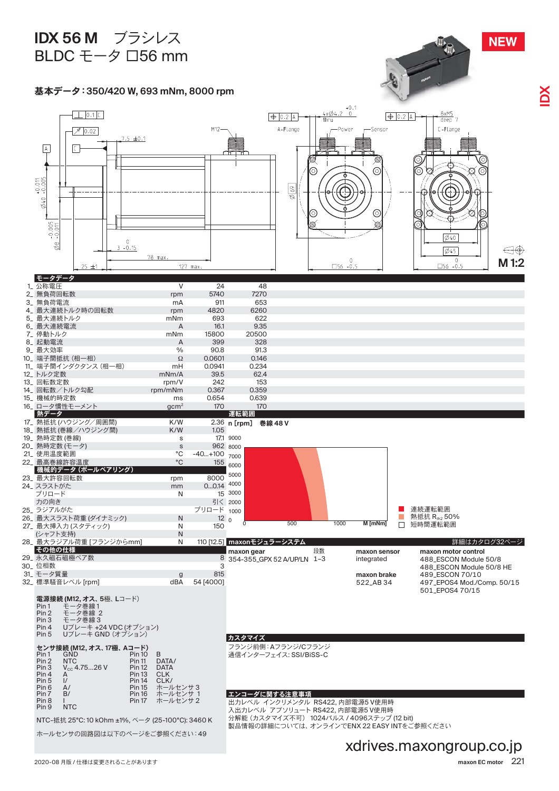## **IDX 56 M** ʮˁʏ˄ʑ BLDC  $E-\varphi$   $\Box$ 56 mm



Pin 4 Uブレーキ +24 VDC (オプション)<br>Pin 5 Uブレーキ GND (オプション)

| センサ接続 (M12, オス、17極、 Aコード) |                   |               |             |
|---------------------------|-------------------|---------------|-------------|
| Pin <sub>1</sub>          | GND               | <b>Pin 10</b> | B           |
| Pin 2                     | <b>NTC</b>        | <b>Pin 11</b> | DATA/       |
| Pin 3                     | $V_{cc}$ 4.7526 V | <b>Pin 12</b> | <b>DATA</b> |
| Pin 4                     | А                 | <b>Pin 13</b> | <b>CLK</b>  |
| Pin 5                     | $\mathsf{I}'$     | <b>Pin 14</b> | CLK/        |
| Pin <sub>6</sub>          | A/                | <b>Pin 15</b> | ホールヤンサ3     |
| Pin <sub>7</sub>          | B/                | <b>Pin 16</b> | ホールセンサ 1    |
| Pin <sub>8</sub>          |                   | <b>Pin 17</b> | ホールヤンサ2     |
| Pin <sub>9</sub>          | NTC.              |               |             |

NTC-抵抗 25°C: 10 kOhm ±1%, ベータ (25-100°C): 3460 K

ホールセンサの回路図は以下のページをご参照ください:49

#### カスタマイズ

フランジ前側:Aフランジ/Cフランジ 通信インターフェイス: SSI/BiSS-C

### エンコーダに関する注意事項

出力レベル インクリメンタル RS422, 内部電源5 V使用時 入出カレベル アブソリュート RS422, 内部電源5 V使用時 ハロング 7. ファンフェ<br>分解能 (カスタマイズ不可) 1024パルス / 4096ステップ (12 bit) ੋඦূอɈম࠳ɅȾȞɀɉĂʂˋˁɼˋɁENX 22 EASY INTɬȮࡪচȩȺȯȞ

### xdrives.maxongroup.co.jp

**NEW**